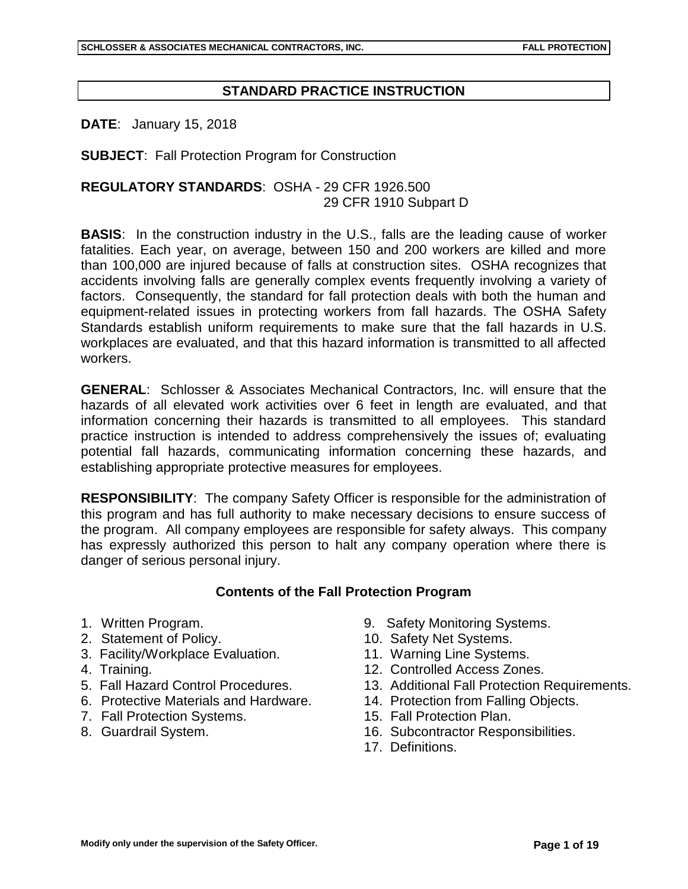## **STANDARD PRACTICE INSTRUCTION**

**DATE**: January 15, 2018

**SUBJECT**: Fall Protection Program for Construction

## **REGULATORY STANDARDS**: OSHA - 29 CFR 1926.500 29 CFR 1910 Subpart D

**BASIS**: In the construction industry in the U.S., falls are the leading cause of worker fatalities. Each year, on average, between 150 and 200 workers are killed and more than 100,000 are injured because of falls at construction sites. OSHA recognizes that accidents involving falls are generally complex events frequently involving a variety of factors. Consequently, the standard for fall protection deals with both the human and equipment-related issues in protecting workers from fall hazards. The OSHA Safety Standards establish uniform requirements to make sure that the fall hazards in U.S. workplaces are evaluated, and that this hazard information is transmitted to all affected workers.

**GENERAL**: Schlosser & Associates Mechanical Contractors, Inc. will ensure that the hazards of all elevated work activities over 6 feet in length are evaluated, and that information concerning their hazards is transmitted to all employees. This standard practice instruction is intended to address comprehensively the issues of; evaluating potential fall hazards, communicating information concerning these hazards, and establishing appropriate protective measures for employees.

**RESPONSIBILITY**: The company Safety Officer is responsible for the administration of this program and has full authority to make necessary decisions to ensure success of the program. All company employees are responsible for safety always. This company has expressly authorized this person to halt any company operation where there is danger of serious personal injury.

### **Contents of the Fall Protection Program**

- 
- 
- 3. Facility/Workplace Evaluation. 11. Warning Line Systems.
- 
- 
- 6. Protective Materials and Hardware. 14. Protection from Falling Objects.
- 7. Fall Protection Systems. 15. Fall Protection Plan.
- 
- 1. Written Program. 9. Safety Monitoring Systems.
- 2. Statement of Policy. 10. Safety Net Systems.
	-
- 4. Training. 12. Controlled Access Zones.
- 5. Fall Hazard Control Procedures. 13. Additional Fall Protection Requirements.
	-
	-
- 8. Guardrail System. 16. Subcontractor Responsibilities.
	- 17. Definitions.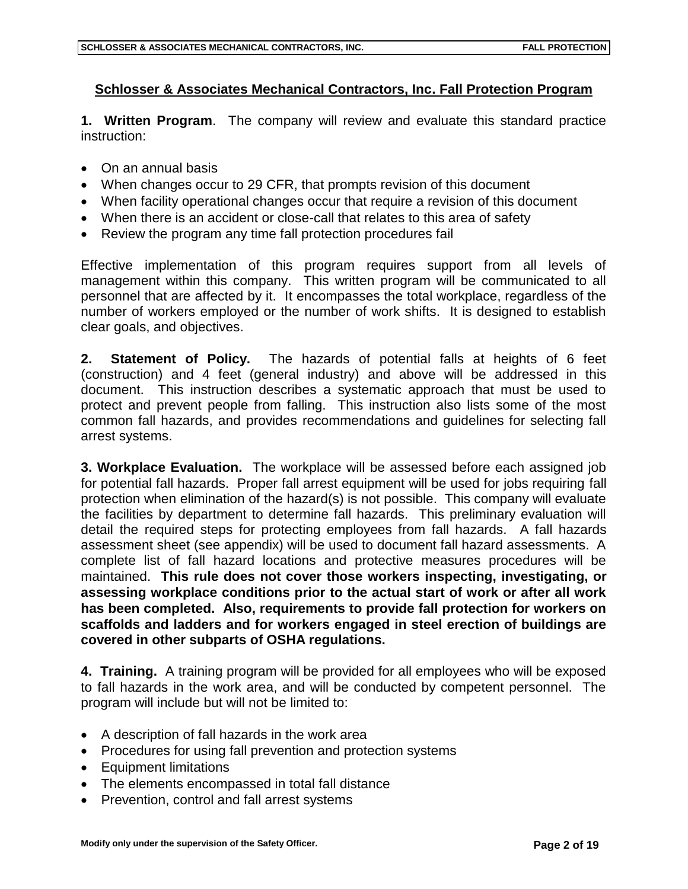# **Schlosser & Associates Mechanical Contractors, Inc. Fall Protection Program**

**1. Written Program**. The company will review and evaluate this standard practice instruction:

- On an annual basis
- When changes occur to 29 CFR, that prompts revision of this document
- When facility operational changes occur that require a revision of this document
- When there is an accident or close-call that relates to this area of safety
- Review the program any time fall protection procedures fail

Effective implementation of this program requires support from all levels of management within this company. This written program will be communicated to all personnel that are affected by it. It encompasses the total workplace, regardless of the number of workers employed or the number of work shifts. It is designed to establish clear goals, and objectives.

**2. Statement of Policy.** The hazards of potential falls at heights of 6 feet (construction) and 4 feet (general industry) and above will be addressed in this document. This instruction describes a systematic approach that must be used to protect and prevent people from falling. This instruction also lists some of the most common fall hazards, and provides recommendations and guidelines for selecting fall arrest systems.

**3. Workplace Evaluation.** The workplace will be assessed before each assigned job for potential fall hazards. Proper fall arrest equipment will be used for jobs requiring fall protection when elimination of the hazard(s) is not possible. This company will evaluate the facilities by department to determine fall hazards. This preliminary evaluation will detail the required steps for protecting employees from fall hazards. A fall hazards assessment sheet (see appendix) will be used to document fall hazard assessments. A complete list of fall hazard locations and protective measures procedures will be maintained. **This rule does not cover those workers inspecting, investigating, or assessing workplace conditions prior to the actual start of work or after all work has been completed. Also, requirements to provide fall protection for workers on scaffolds and ladders and for workers engaged in steel erection of buildings are covered in other subparts of OSHA regulations.**

**4. Training.** A training program will be provided for all employees who will be exposed to fall hazards in the work area, and will be conducted by competent personnel. The program will include but will not be limited to:

- A description of fall hazards in the work area
- Procedures for using fall prevention and protection systems
- Equipment limitations
- The elements encompassed in total fall distance
- Prevention, control and fall arrest systems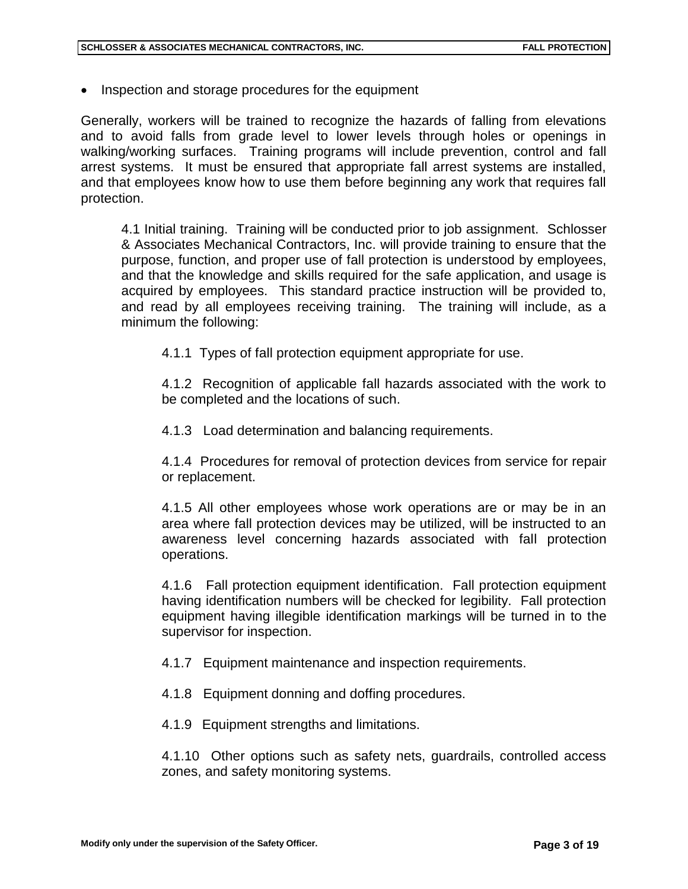• Inspection and storage procedures for the equipment

Generally, workers will be trained to recognize the hazards of falling from elevations and to avoid falls from grade level to lower levels through holes or openings in walking/working surfaces. Training programs will include prevention, control and fall arrest systems. It must be ensured that appropriate fall arrest systems are installed, and that employees know how to use them before beginning any work that requires fall protection.

4.1 Initial training. Training will be conducted prior to job assignment. Schlosser & Associates Mechanical Contractors, Inc. will provide training to ensure that the purpose, function, and proper use of fall protection is understood by employees, and that the knowledge and skills required for the safe application, and usage is acquired by employees. This standard practice instruction will be provided to, and read by all employees receiving training. The training will include, as a minimum the following:

4.1.1 Types of fall protection equipment appropriate for use.

4.1.2 Recognition of applicable fall hazards associated with the work to be completed and the locations of such.

4.1.3 Load determination and balancing requirements.

4.1.4 Procedures for removal of protection devices from service for repair or replacement.

4.1.5 All other employees whose work operations are or may be in an area where fall protection devices may be utilized, will be instructed to an awareness level concerning hazards associated with fall protection operations.

4.1.6 Fall protection equipment identification. Fall protection equipment having identification numbers will be checked for legibility. Fall protection equipment having illegible identification markings will be turned in to the supervisor for inspection.

4.1.7 Equipment maintenance and inspection requirements.

4.1.8 Equipment donning and doffing procedures.

4.1.9 Equipment strengths and limitations.

4.1.10 Other options such as safety nets, guardrails, controlled access zones, and safety monitoring systems.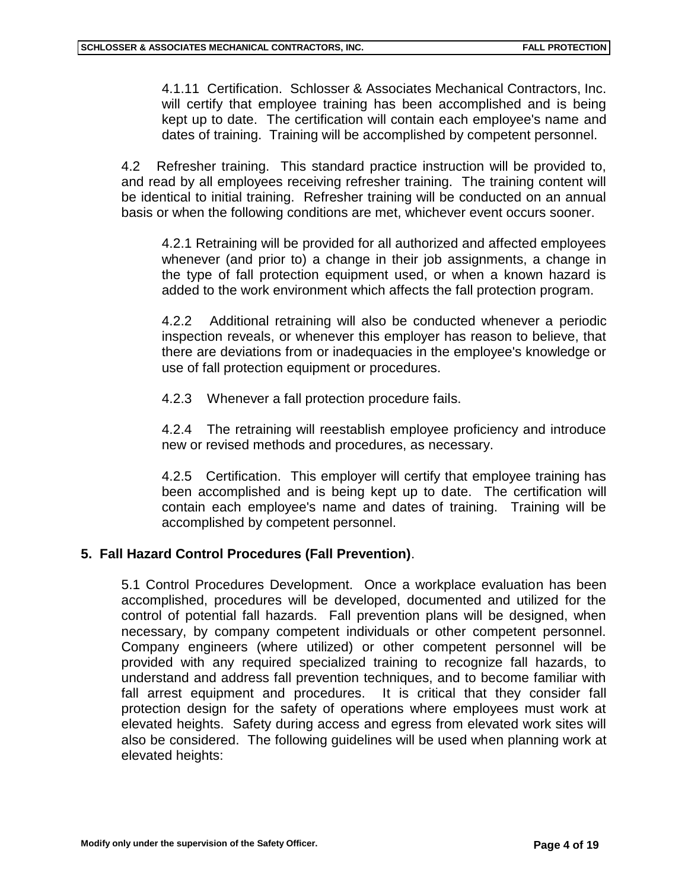4.1.11 Certification. Schlosser & Associates Mechanical Contractors, Inc. will certify that employee training has been accomplished and is being kept up to date. The certification will contain each employee's name and dates of training. Training will be accomplished by competent personnel.

4.2 Refresher training. This standard practice instruction will be provided to, and read by all employees receiving refresher training. The training content will be identical to initial training. Refresher training will be conducted on an annual basis or when the following conditions are met, whichever event occurs sooner.

4.2.1 Retraining will be provided for all authorized and affected employees whenever (and prior to) a change in their job assignments, a change in the type of fall protection equipment used, or when a known hazard is added to the work environment which affects the fall protection program.

4.2.2 Additional retraining will also be conducted whenever a periodic inspection reveals, or whenever this employer has reason to believe, that there are deviations from or inadequacies in the employee's knowledge or use of fall protection equipment or procedures.

4.2.3 Whenever a fall protection procedure fails.

4.2.4 The retraining will reestablish employee proficiency and introduce new or revised methods and procedures, as necessary.

4.2.5 Certification. This employer will certify that employee training has been accomplished and is being kept up to date. The certification will contain each employee's name and dates of training. Training will be accomplished by competent personnel.

### **5. Fall Hazard Control Procedures (Fall Prevention)**.

5.1 Control Procedures Development. Once a workplace evaluation has been accomplished, procedures will be developed, documented and utilized for the control of potential fall hazards. Fall prevention plans will be designed, when necessary, by company competent individuals or other competent personnel. Company engineers (where utilized) or other competent personnel will be provided with any required specialized training to recognize fall hazards, to understand and address fall prevention techniques, and to become familiar with fall arrest equipment and procedures. It is critical that they consider fall protection design for the safety of operations where employees must work at elevated heights. Safety during access and egress from elevated work sites will also be considered. The following guidelines will be used when planning work at elevated heights: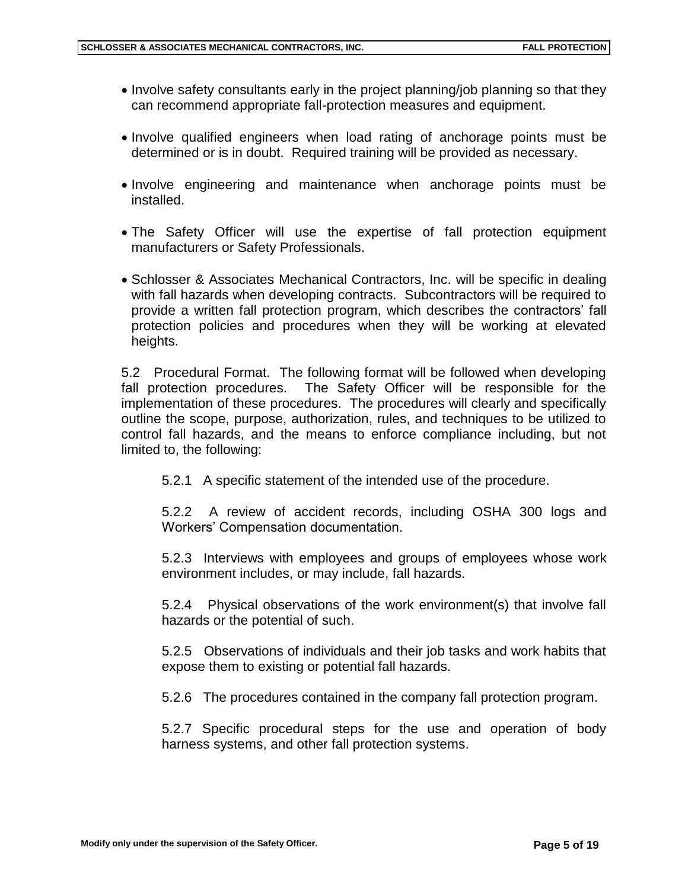- Involve safety consultants early in the project planning/job planning so that they can recommend appropriate fall-protection measures and equipment.
- Involve qualified engineers when load rating of anchorage points must be determined or is in doubt. Required training will be provided as necessary.
- Involve engineering and maintenance when anchorage points must be installed.
- The Safety Officer will use the expertise of fall protection equipment manufacturers or Safety Professionals.
- Schlosser & Associates Mechanical Contractors, Inc. will be specific in dealing with fall hazards when developing contracts. Subcontractors will be required to provide a written fall protection program, which describes the contractors' fall protection policies and procedures when they will be working at elevated heights.

5.2 Procedural Format. The following format will be followed when developing fall protection procedures. The Safety Officer will be responsible for the implementation of these procedures. The procedures will clearly and specifically outline the scope, purpose, authorization, rules, and techniques to be utilized to control fall hazards, and the means to enforce compliance including, but not limited to, the following:

5.2.1 A specific statement of the intended use of the procedure.

5.2.2 A review of accident records, including OSHA 300 logs and Workers' Compensation documentation.

5.2.3 Interviews with employees and groups of employees whose work environment includes, or may include, fall hazards.

5.2.4 Physical observations of the work environment(s) that involve fall hazards or the potential of such.

5.2.5 Observations of individuals and their job tasks and work habits that expose them to existing or potential fall hazards.

5.2.6 The procedures contained in the company fall protection program.

5.2.7 Specific procedural steps for the use and operation of body harness systems, and other fall protection systems.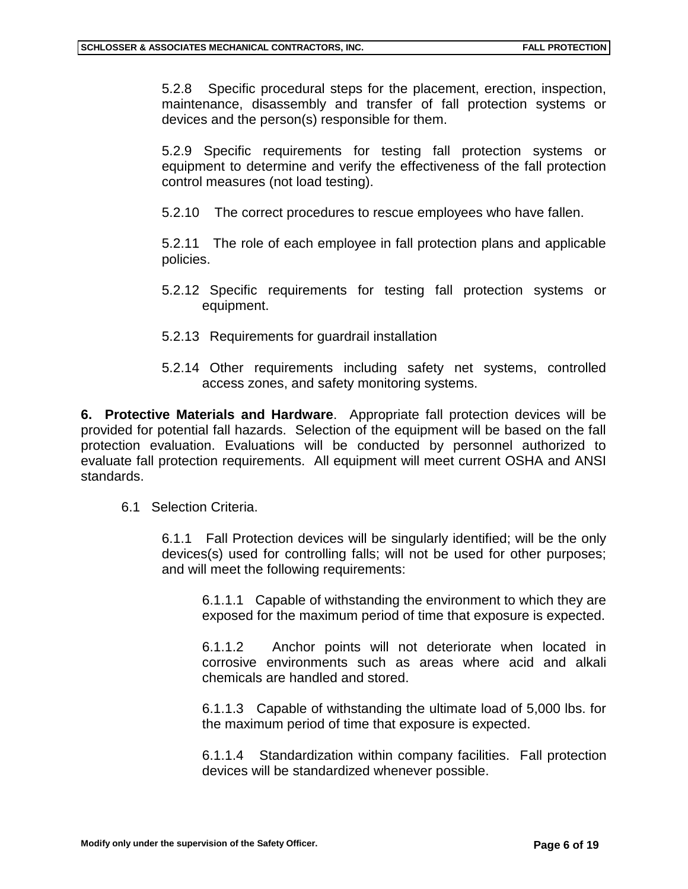5.2.8 Specific procedural steps for the placement, erection, inspection, maintenance, disassembly and transfer of fall protection systems or devices and the person(s) responsible for them.

5.2.9 Specific requirements for testing fall protection systems or equipment to determine and verify the effectiveness of the fall protection control measures (not load testing).

5.2.10 The correct procedures to rescue employees who have fallen.

5.2.11 The role of each employee in fall protection plans and applicable policies.

- 5.2.12 Specific requirements for testing fall protection systems or equipment.
- 5.2.13 Requirements for guardrail installation
- 5.2.14 Other requirements including safety net systems, controlled access zones, and safety monitoring systems.

**6. Protective Materials and Hardware**. Appropriate fall protection devices will be provided for potential fall hazards. Selection of the equipment will be based on the fall protection evaluation. Evaluations will be conducted by personnel authorized to evaluate fall protection requirements. All equipment will meet current OSHA and ANSI standards.

6.1 Selection Criteria.

6.1.1 Fall Protection devices will be singularly identified; will be the only devices(s) used for controlling falls; will not be used for other purposes; and will meet the following requirements:

6.1.1.1 Capable of withstanding the environment to which they are exposed for the maximum period of time that exposure is expected.

6.1.1.2 Anchor points will not deteriorate when located in corrosive environments such as areas where acid and alkali chemicals are handled and stored.

6.1.1.3 Capable of withstanding the ultimate load of 5,000 lbs. for the maximum period of time that exposure is expected.

6.1.1.4 Standardization within company facilities. Fall protection devices will be standardized whenever possible.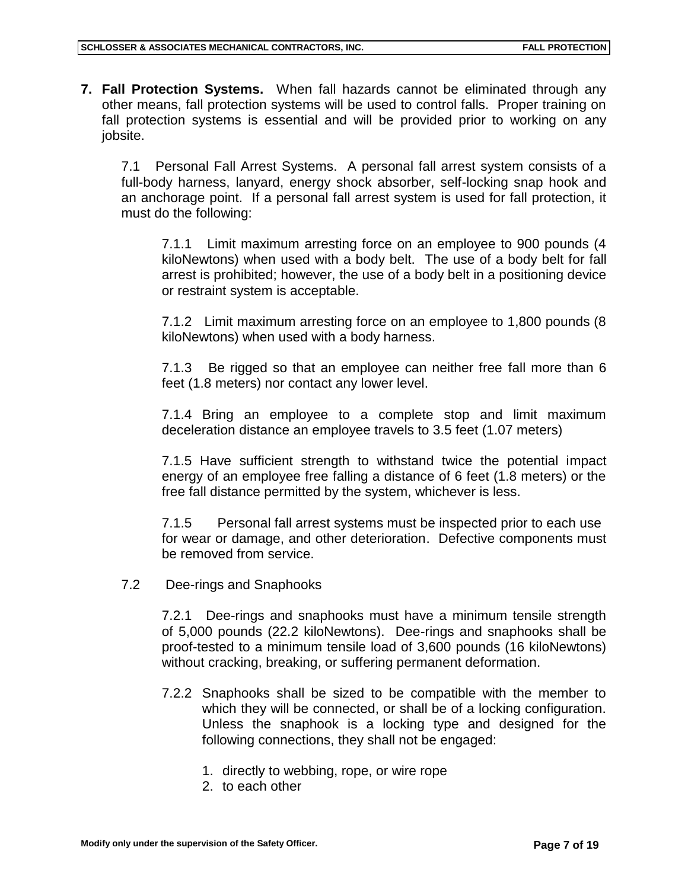**7. Fall Protection Systems.** When fall hazards cannot be eliminated through any other means, fall protection systems will be used to control falls. Proper training on fall protection systems is essential and will be provided prior to working on any jobsite.

7.1 Personal Fall Arrest Systems. A personal fall arrest system consists of a full-body harness, lanyard, energy shock absorber, self-locking snap hook and an anchorage point. If a personal fall arrest system is used for fall protection, it must do the following:

7.1.1 Limit maximum arresting force on an employee to 900 pounds (4 kiloNewtons) when used with a body belt. The use of a body belt for fall arrest is prohibited; however, the use of a body belt in a positioning device or restraint system is acceptable.

7.1.2 Limit maximum arresting force on an employee to 1,800 pounds (8 kiloNewtons) when used with a body harness.

7.1.3 Be rigged so that an employee can neither free fall more than 6 feet (1.8 meters) nor contact any lower level.

7.1.4 Bring an employee to a complete stop and limit maximum deceleration distance an employee travels to 3.5 feet (1.07 meters)

7.1.5 Have sufficient strength to withstand twice the potential impact energy of an employee free falling a distance of 6 feet (1.8 meters) or the free fall distance permitted by the system, whichever is less.

7.1.5 Personal fall arrest systems must be inspected prior to each use for wear or damage, and other deterioration. Defective components must be removed from service.

7.2 Dee-rings and Snaphooks

7.2.1 Dee-rings and snaphooks must have a minimum tensile strength of 5,000 pounds (22.2 kiloNewtons). Dee-rings and snaphooks shall be proof-tested to a minimum tensile load of 3,600 pounds (16 kiloNewtons) without cracking, breaking, or suffering permanent deformation.

- 7.2.2 Snaphooks shall be sized to be compatible with the member to which they will be connected, or shall be of a locking configuration. Unless the snaphook is a locking type and designed for the following connections, they shall not be engaged:
	- 1. directly to webbing, rope, or wire rope
	- 2. to each other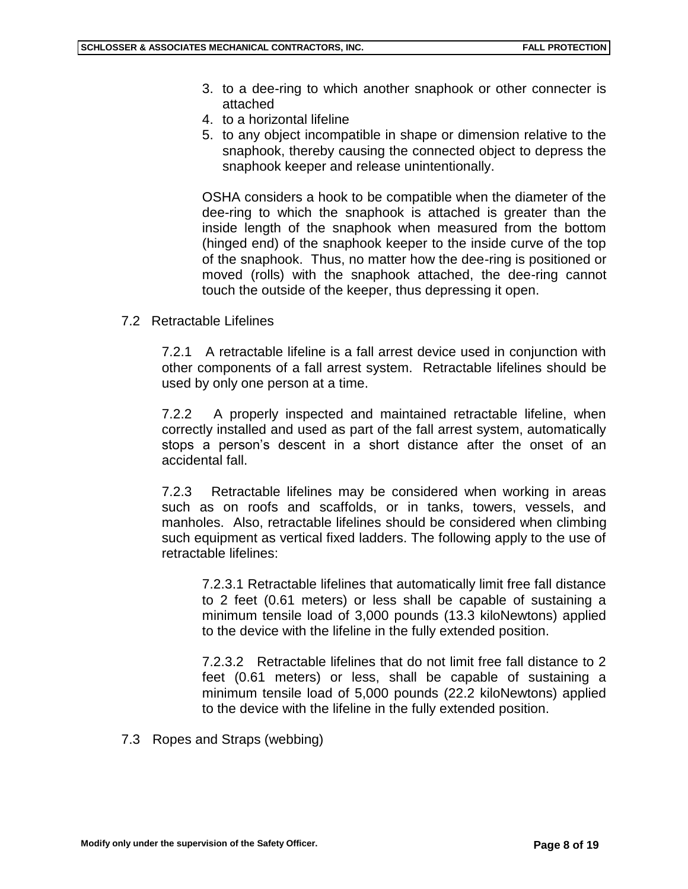- 3. to a dee-ring to which another snaphook or other connecter is attached
- 4. to a horizontal lifeline
- 5. to any object incompatible in shape or dimension relative to the snaphook, thereby causing the connected object to depress the snaphook keeper and release unintentionally.

OSHA considers a hook to be compatible when the diameter of the dee-ring to which the snaphook is attached is greater than the inside length of the snaphook when measured from the bottom (hinged end) of the snaphook keeper to the inside curve of the top of the snaphook. Thus, no matter how the dee-ring is positioned or moved (rolls) with the snaphook attached, the dee-ring cannot touch the outside of the keeper, thus depressing it open.

7.2 Retractable Lifelines

7.2.1 A retractable lifeline is a fall arrest device used in conjunction with other components of a fall arrest system. Retractable lifelines should be used by only one person at a time.

7.2.2 A properly inspected and maintained retractable lifeline, when correctly installed and used as part of the fall arrest system, automatically stops a person's descent in a short distance after the onset of an accidental fall.

7.2.3 Retractable lifelines may be considered when working in areas such as on roofs and scaffolds, or in tanks, towers, vessels, and manholes. Also, retractable lifelines should be considered when climbing such equipment as vertical fixed ladders. The following apply to the use of retractable lifelines:

7.2.3.1 Retractable lifelines that automatically limit free fall distance to 2 feet (0.61 meters) or less shall be capable of sustaining a minimum tensile load of 3,000 pounds (13.3 kiloNewtons) applied to the device with the lifeline in the fully extended position.

7.2.3.2 Retractable lifelines that do not limit free fall distance to 2 feet (0.61 meters) or less, shall be capable of sustaining a minimum tensile load of 5,000 pounds (22.2 kiloNewtons) applied to the device with the lifeline in the fully extended position.

7.3 Ropes and Straps (webbing)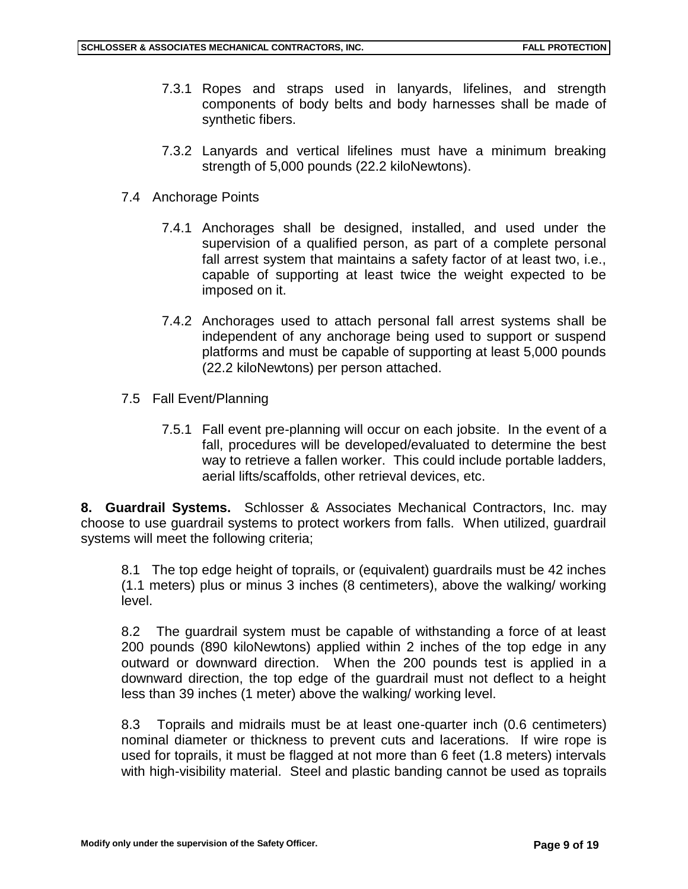- 7.3.1 Ropes and straps used in lanyards, lifelines, and strength components of body belts and body harnesses shall be made of synthetic fibers.
- 7.3.2 Lanyards and vertical lifelines must have a minimum breaking strength of 5,000 pounds (22.2 kiloNewtons).
- 7.4 Anchorage Points
	- 7.4.1 Anchorages shall be designed, installed, and used under the supervision of a qualified person, as part of a complete personal fall arrest system that maintains a safety factor of at least two, i.e., capable of supporting at least twice the weight expected to be imposed on it.
	- 7.4.2 Anchorages used to attach personal fall arrest systems shall be independent of any anchorage being used to support or suspend platforms and must be capable of supporting at least 5,000 pounds (22.2 kiloNewtons) per person attached.
- 7.5 Fall Event/Planning
	- 7.5.1 Fall event pre-planning will occur on each jobsite. In the event of a fall, procedures will be developed/evaluated to determine the best way to retrieve a fallen worker. This could include portable ladders, aerial lifts/scaffolds, other retrieval devices, etc.

**8. Guardrail Systems.** Schlosser & Associates Mechanical Contractors, Inc. may choose to use guardrail systems to protect workers from falls. When utilized, guardrail systems will meet the following criteria;

8.1 The top edge height of toprails, or (equivalent) guardrails must be 42 inches (1.1 meters) plus or minus 3 inches (8 centimeters), above the walking/ working level.

8.2 The guardrail system must be capable of withstanding a force of at least 200 pounds (890 kiloNewtons) applied within 2 inches of the top edge in any outward or downward direction. When the 200 pounds test is applied in a downward direction, the top edge of the guardrail must not deflect to a height less than 39 inches (1 meter) above the walking/ working level.

8.3 Toprails and midrails must be at least one-quarter inch (0.6 centimeters) nominal diameter or thickness to prevent cuts and lacerations. If wire rope is used for toprails, it must be flagged at not more than 6 feet (1.8 meters) intervals with high-visibility material. Steel and plastic banding cannot be used as toprails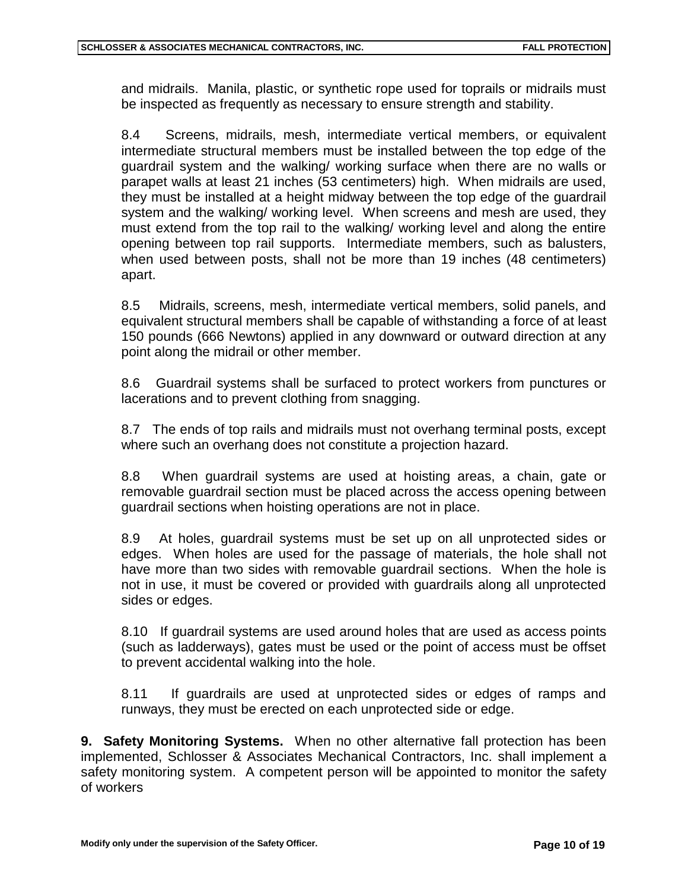and midrails. Manila, plastic, or synthetic rope used for toprails or midrails must be inspected as frequently as necessary to ensure strength and stability.

8.4 Screens, midrails, mesh, intermediate vertical members, or equivalent intermediate structural members must be installed between the top edge of the guardrail system and the walking/ working surface when there are no walls or parapet walls at least 21 inches (53 centimeters) high. When midrails are used, they must be installed at a height midway between the top edge of the guardrail system and the walking/ working level. When screens and mesh are used, they must extend from the top rail to the walking/ working level and along the entire opening between top rail supports. Intermediate members, such as balusters, when used between posts, shall not be more than 19 inches (48 centimeters) apart.

8.5 Midrails, screens, mesh, intermediate vertical members, solid panels, and equivalent structural members shall be capable of withstanding a force of at least 150 pounds (666 Newtons) applied in any downward or outward direction at any point along the midrail or other member.

8.6 Guardrail systems shall be surfaced to protect workers from punctures or lacerations and to prevent clothing from snagging.

8.7 The ends of top rails and midrails must not overhang terminal posts, except where such an overhang does not constitute a projection hazard.

8.8 When guardrail systems are used at hoisting areas, a chain, gate or removable guardrail section must be placed across the access opening between guardrail sections when hoisting operations are not in place.

8.9 At holes, guardrail systems must be set up on all unprotected sides or edges. When holes are used for the passage of materials, the hole shall not have more than two sides with removable guardrail sections. When the hole is not in use, it must be covered or provided with guardrails along all unprotected sides or edges.

8.10 If guardrail systems are used around holes that are used as access points (such as ladderways), gates must be used or the point of access must be offset to prevent accidental walking into the hole.

8.11 If guardrails are used at unprotected sides or edges of ramps and runways, they must be erected on each unprotected side or edge.

**9. Safety Monitoring Systems.** When no other alternative fall protection has been implemented, Schlosser & Associates Mechanical Contractors, Inc. shall implement a safety monitoring system. A competent person will be appointed to monitor the safety of workers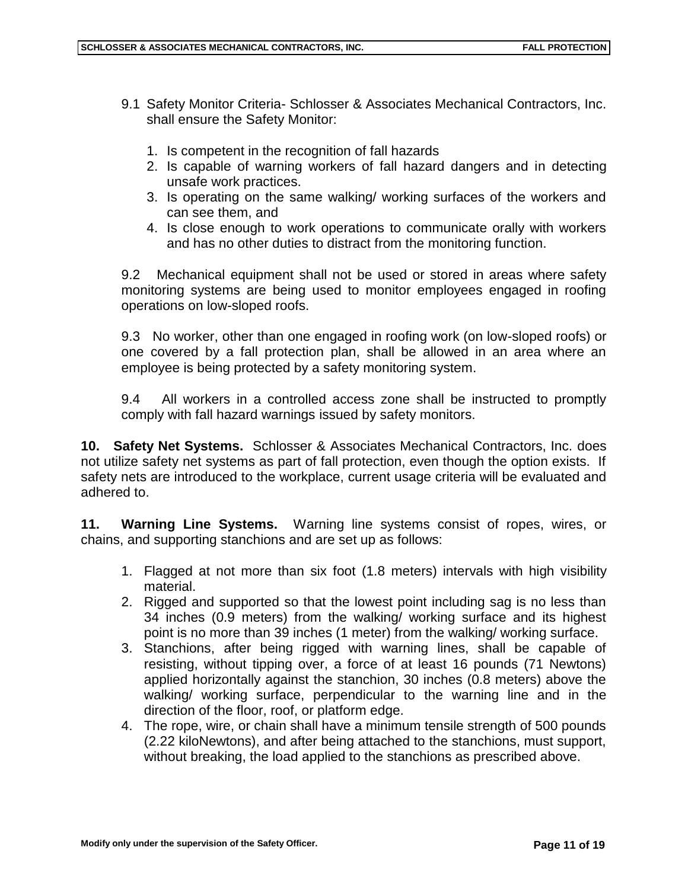- 9.1 Safety Monitor Criteria- Schlosser & Associates Mechanical Contractors, Inc. shall ensure the Safety Monitor:
	- 1. Is competent in the recognition of fall hazards
	- 2. Is capable of warning workers of fall hazard dangers and in detecting unsafe work practices.
	- 3. Is operating on the same walking/ working surfaces of the workers and can see them, and
	- 4. Is close enough to work operations to communicate orally with workers and has no other duties to distract from the monitoring function.

9.2 Mechanical equipment shall not be used or stored in areas where safety monitoring systems are being used to monitor employees engaged in roofing operations on low-sloped roofs.

9.3 No worker, other than one engaged in roofing work (on low-sloped roofs) or one covered by a fall protection plan, shall be allowed in an area where an employee is being protected by a safety monitoring system.

9.4 All workers in a controlled access zone shall be instructed to promptly comply with fall hazard warnings issued by safety monitors.

**10. Safety Net Systems.** Schlosser & Associates Mechanical Contractors, Inc. does not utilize safety net systems as part of fall protection, even though the option exists. If safety nets are introduced to the workplace, current usage criteria will be evaluated and adhered to.

**11. Warning Line Systems.** Warning line systems consist of ropes, wires, or chains, and supporting stanchions and are set up as follows:

- 1. Flagged at not more than six foot (1.8 meters) intervals with high visibility material.
- 2. Rigged and supported so that the lowest point including sag is no less than 34 inches (0.9 meters) from the walking/ working surface and its highest point is no more than 39 inches (1 meter) from the walking/ working surface.
- 3. Stanchions, after being rigged with warning lines, shall be capable of resisting, without tipping over, a force of at least 16 pounds (71 Newtons) applied horizontally against the stanchion, 30 inches (0.8 meters) above the walking/ working surface, perpendicular to the warning line and in the direction of the floor, roof, or platform edge.
- 4. The rope, wire, or chain shall have a minimum tensile strength of 500 pounds (2.22 kiloNewtons), and after being attached to the stanchions, must support, without breaking, the load applied to the stanchions as prescribed above.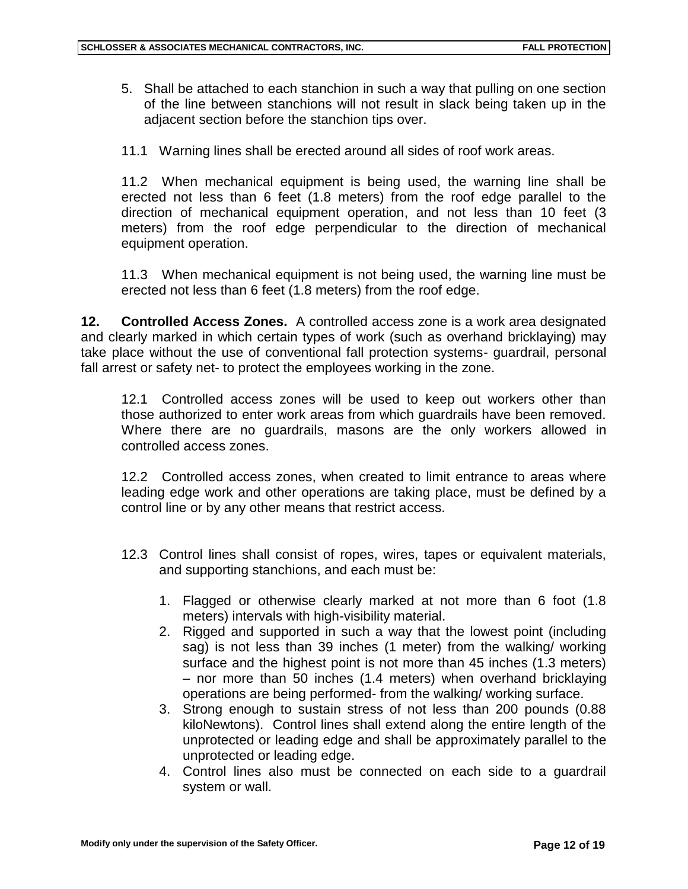- 5. Shall be attached to each stanchion in such a way that pulling on one section of the line between stanchions will not result in slack being taken up in the adjacent section before the stanchion tips over.
- 11.1 Warning lines shall be erected around all sides of roof work areas.

11.2 When mechanical equipment is being used, the warning line shall be erected not less than 6 feet (1.8 meters) from the roof edge parallel to the direction of mechanical equipment operation, and not less than 10 feet (3 meters) from the roof edge perpendicular to the direction of mechanical equipment operation.

11.3 When mechanical equipment is not being used, the warning line must be erected not less than 6 feet (1.8 meters) from the roof edge.

**12. Controlled Access Zones.** A controlled access zone is a work area designated and clearly marked in which certain types of work (such as overhand bricklaying) may take place without the use of conventional fall protection systems- guardrail, personal fall arrest or safety net- to protect the employees working in the zone.

12.1 Controlled access zones will be used to keep out workers other than those authorized to enter work areas from which guardrails have been removed. Where there are no guardrails, masons are the only workers allowed in controlled access zones.

12.2 Controlled access zones, when created to limit entrance to areas where leading edge work and other operations are taking place, must be defined by a control line or by any other means that restrict access.

- 12.3 Control lines shall consist of ropes, wires, tapes or equivalent materials, and supporting stanchions, and each must be:
	- 1. Flagged or otherwise clearly marked at not more than 6 foot (1.8 meters) intervals with high-visibility material.
	- 2. Rigged and supported in such a way that the lowest point (including sag) is not less than 39 inches (1 meter) from the walking/ working surface and the highest point is not more than 45 inches (1.3 meters) – nor more than 50 inches (1.4 meters) when overhand bricklaying operations are being performed- from the walking/ working surface.
	- 3. Strong enough to sustain stress of not less than 200 pounds (0.88 kiloNewtons). Control lines shall extend along the entire length of the unprotected or leading edge and shall be approximately parallel to the unprotected or leading edge.
	- 4. Control lines also must be connected on each side to a guardrail system or wall.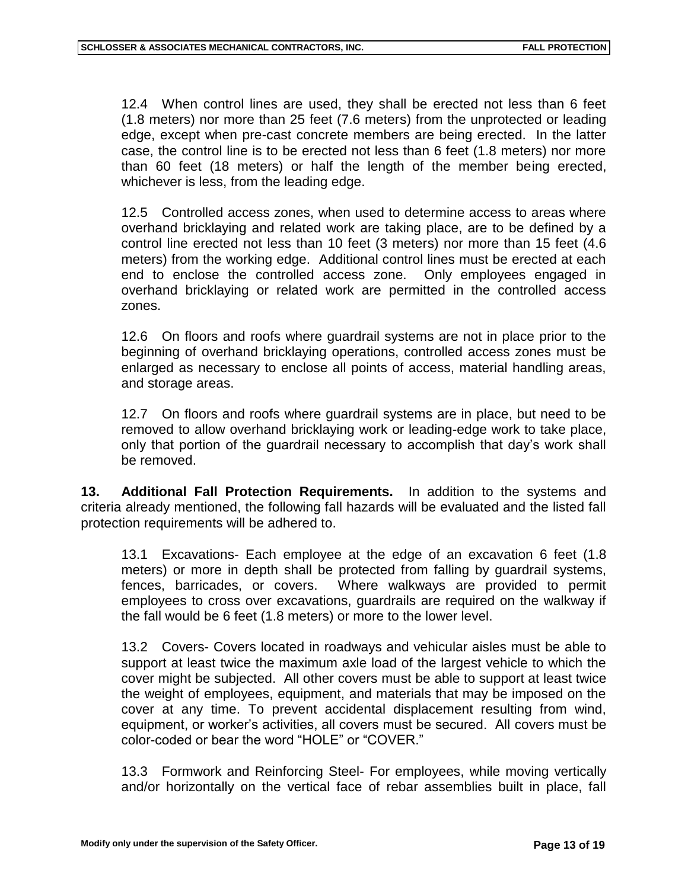12.4 When control lines are used, they shall be erected not less than 6 feet (1.8 meters) nor more than 25 feet (7.6 meters) from the unprotected or leading edge, except when pre-cast concrete members are being erected. In the latter case, the control line is to be erected not less than 6 feet (1.8 meters) nor more than 60 feet (18 meters) or half the length of the member being erected, whichever is less, from the leading edge.

12.5 Controlled access zones, when used to determine access to areas where overhand bricklaying and related work are taking place, are to be defined by a control line erected not less than 10 feet (3 meters) nor more than 15 feet (4.6 meters) from the working edge. Additional control lines must be erected at each end to enclose the controlled access zone. Only employees engaged in overhand bricklaying or related work are permitted in the controlled access zones.

12.6 On floors and roofs where guardrail systems are not in place prior to the beginning of overhand bricklaying operations, controlled access zones must be enlarged as necessary to enclose all points of access, material handling areas, and storage areas.

12.7 On floors and roofs where guardrail systems are in place, but need to be removed to allow overhand bricklaying work or leading-edge work to take place, only that portion of the guardrail necessary to accomplish that day's work shall be removed.

**13. Additional Fall Protection Requirements.** In addition to the systems and criteria already mentioned, the following fall hazards will be evaluated and the listed fall protection requirements will be adhered to.

13.1 Excavations- Each employee at the edge of an excavation 6 feet (1.8 meters) or more in depth shall be protected from falling by guardrail systems, fences, barricades, or covers. Where walkways are provided to permit employees to cross over excavations, guardrails are required on the walkway if the fall would be 6 feet (1.8 meters) or more to the lower level.

13.2 Covers- Covers located in roadways and vehicular aisles must be able to support at least twice the maximum axle load of the largest vehicle to which the cover might be subjected. All other covers must be able to support at least twice the weight of employees, equipment, and materials that may be imposed on the cover at any time. To prevent accidental displacement resulting from wind, equipment, or worker's activities, all covers must be secured. All covers must be color-coded or bear the word "HOLE" or "COVER."

13.3 Formwork and Reinforcing Steel- For employees, while moving vertically and/or horizontally on the vertical face of rebar assemblies built in place, fall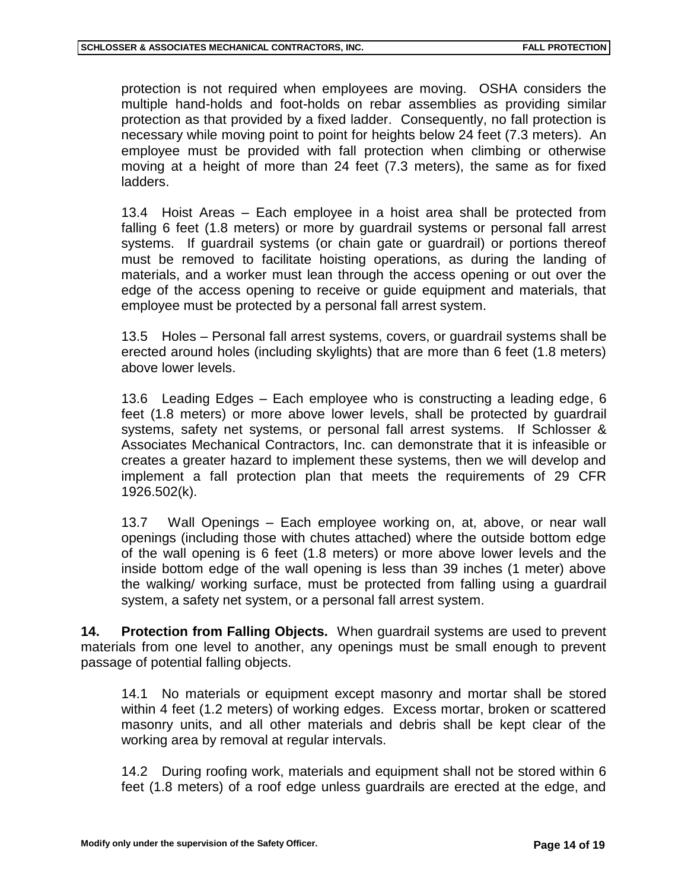protection is not required when employees are moving. OSHA considers the multiple hand-holds and foot-holds on rebar assemblies as providing similar protection as that provided by a fixed ladder. Consequently, no fall protection is necessary while moving point to point for heights below 24 feet (7.3 meters). An employee must be provided with fall protection when climbing or otherwise moving at a height of more than 24 feet (7.3 meters), the same as for fixed ladders.

13.4 Hoist Areas – Each employee in a hoist area shall be protected from falling 6 feet (1.8 meters) or more by guardrail systems or personal fall arrest systems. If guardrail systems (or chain gate or guardrail) or portions thereof must be removed to facilitate hoisting operations, as during the landing of materials, and a worker must lean through the access opening or out over the edge of the access opening to receive or guide equipment and materials, that employee must be protected by a personal fall arrest system.

13.5 Holes – Personal fall arrest systems, covers, or guardrail systems shall be erected around holes (including skylights) that are more than 6 feet (1.8 meters) above lower levels.

13.6 Leading Edges – Each employee who is constructing a leading edge, 6 feet (1.8 meters) or more above lower levels, shall be protected by guardrail systems, safety net systems, or personal fall arrest systems. If Schlosser & Associates Mechanical Contractors, Inc. can demonstrate that it is infeasible or creates a greater hazard to implement these systems, then we will develop and implement a fall protection plan that meets the requirements of 29 CFR 1926.502(k).

13.7 Wall Openings – Each employee working on, at, above, or near wall openings (including those with chutes attached) where the outside bottom edge of the wall opening is 6 feet (1.8 meters) or more above lower levels and the inside bottom edge of the wall opening is less than 39 inches (1 meter) above the walking/ working surface, must be protected from falling using a guardrail system, a safety net system, or a personal fall arrest system.

**14. Protection from Falling Objects.** When guardrail systems are used to prevent materials from one level to another, any openings must be small enough to prevent passage of potential falling objects.

14.1 No materials or equipment except masonry and mortar shall be stored within 4 feet (1.2 meters) of working edges. Excess mortar, broken or scattered masonry units, and all other materials and debris shall be kept clear of the working area by removal at regular intervals.

14.2 During roofing work, materials and equipment shall not be stored within 6 feet (1.8 meters) of a roof edge unless guardrails are erected at the edge, and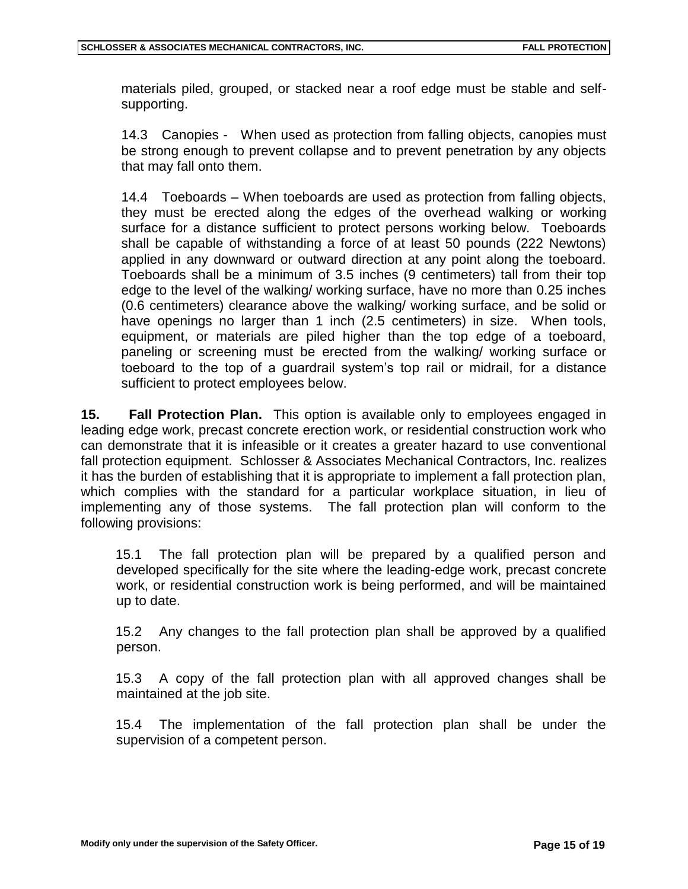materials piled, grouped, or stacked near a roof edge must be stable and selfsupporting.

14.3 Canopies - When used as protection from falling objects, canopies must be strong enough to prevent collapse and to prevent penetration by any objects that may fall onto them.

14.4 Toeboards – When toeboards are used as protection from falling objects, they must be erected along the edges of the overhead walking or working surface for a distance sufficient to protect persons working below. Toeboards shall be capable of withstanding a force of at least 50 pounds (222 Newtons) applied in any downward or outward direction at any point along the toeboard. Toeboards shall be a minimum of 3.5 inches (9 centimeters) tall from their top edge to the level of the walking/ working surface, have no more than 0.25 inches (0.6 centimeters) clearance above the walking/ working surface, and be solid or have openings no larger than 1 inch (2.5 centimeters) in size. When tools, equipment, or materials are piled higher than the top edge of a toeboard, paneling or screening must be erected from the walking/ working surface or toeboard to the top of a guardrail system's top rail or midrail, for a distance sufficient to protect employees below.

**15. Fall Protection Plan.** This option is available only to employees engaged in leading edge work, precast concrete erection work, or residential construction work who can demonstrate that it is infeasible or it creates a greater hazard to use conventional fall protection equipment. Schlosser & Associates Mechanical Contractors, Inc. realizes it has the burden of establishing that it is appropriate to implement a fall protection plan, which complies with the standard for a particular workplace situation, in lieu of implementing any of those systems. The fall protection plan will conform to the following provisions:

15.1 The fall protection plan will be prepared by a qualified person and developed specifically for the site where the leading-edge work, precast concrete work, or residential construction work is being performed, and will be maintained up to date.

15.2 Any changes to the fall protection plan shall be approved by a qualified person.

15.3 A copy of the fall protection plan with all approved changes shall be maintained at the job site.

15.4 The implementation of the fall protection plan shall be under the supervision of a competent person.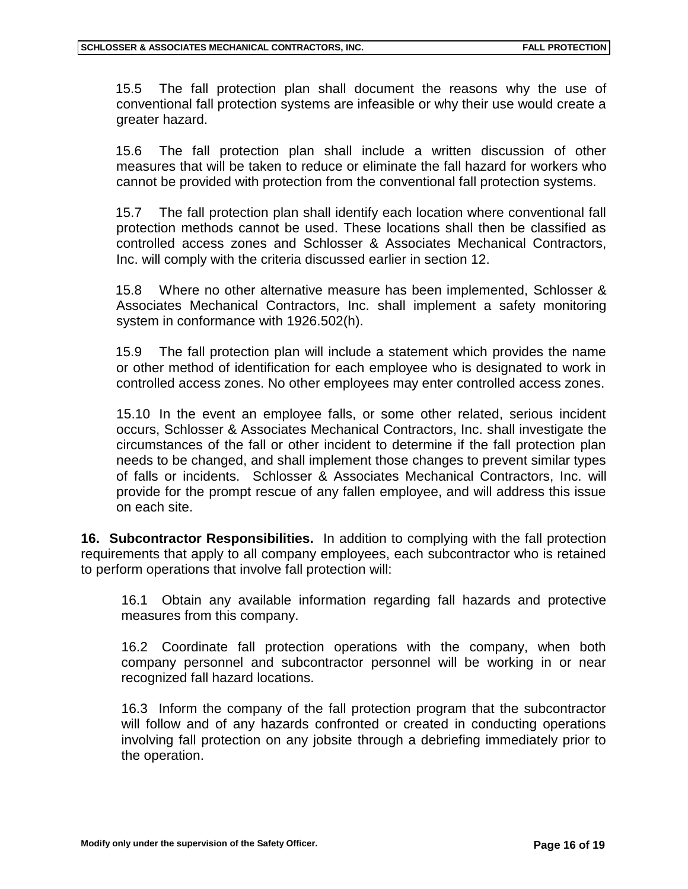15.5 The fall protection plan shall document the reasons why the use of conventional fall protection systems are infeasible or why their use would create a greater hazard.

15.6 The fall protection plan shall include a written discussion of other measures that will be taken to reduce or eliminate the fall hazard for workers who cannot be provided with protection from the conventional fall protection systems.

15.7 The fall protection plan shall identify each location where conventional fall protection methods cannot be used. These locations shall then be classified as controlled access zones and Schlosser & Associates Mechanical Contractors, Inc. will comply with the criteria discussed earlier in section 12.

15.8 Where no other alternative measure has been implemented, Schlosser & Associates Mechanical Contractors, Inc. shall implement a safety monitoring system in conformance with 1926.502(h).

15.9 The fall protection plan will include a statement which provides the name or other method of identification for each employee who is designated to work in controlled access zones. No other employees may enter controlled access zones.

15.10 In the event an employee falls, or some other related, serious incident occurs, Schlosser & Associates Mechanical Contractors, Inc. shall investigate the circumstances of the fall or other incident to determine if the fall protection plan needs to be changed, and shall implement those changes to prevent similar types of falls or incidents. Schlosser & Associates Mechanical Contractors, Inc. will provide for the prompt rescue of any fallen employee, and will address this issue on each site.

**16. Subcontractor Responsibilities.** In addition to complying with the fall protection requirements that apply to all company employees, each subcontractor who is retained to perform operations that involve fall protection will:

16.1 Obtain any available information regarding fall hazards and protective measures from this company.

16.2 Coordinate fall protection operations with the company, when both company personnel and subcontractor personnel will be working in or near recognized fall hazard locations.

16.3 Inform the company of the fall protection program that the subcontractor will follow and of any hazards confronted or created in conducting operations involving fall protection on any jobsite through a debriefing immediately prior to the operation.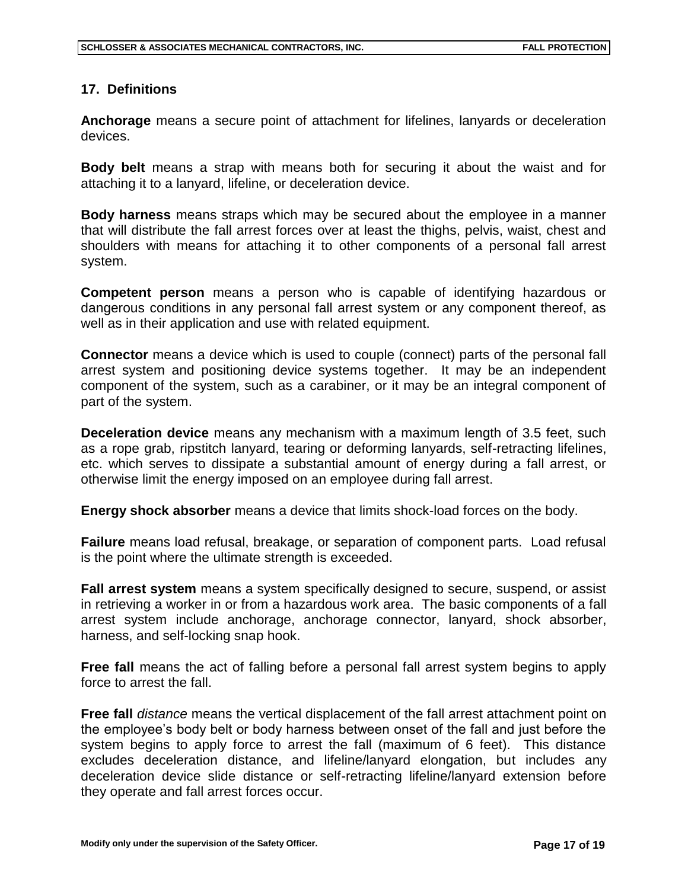#### **17. Definitions**

**Anchorage** means a secure point of attachment for lifelines, lanyards or deceleration devices.

**Body belt** means a strap with means both for securing it about the waist and for attaching it to a lanyard, lifeline, or deceleration device.

**Body harness** means straps which may be secured about the employee in a manner that will distribute the fall arrest forces over at least the thighs, pelvis, waist, chest and shoulders with means for attaching it to other components of a personal fall arrest system.

**Competent person** means a person who is capable of identifying hazardous or dangerous conditions in any personal fall arrest system or any component thereof, as well as in their application and use with related equipment.

**Connector** means a device which is used to couple (connect) parts of the personal fall arrest system and positioning device systems together. It may be an independent component of the system, such as a carabiner, or it may be an integral component of part of the system.

**Deceleration device** means any mechanism with a maximum length of 3.5 feet, such as a rope grab, ripstitch lanyard, tearing or deforming lanyards, self-retracting lifelines, etc. which serves to dissipate a substantial amount of energy during a fall arrest, or otherwise limit the energy imposed on an employee during fall arrest.

**Energy shock absorber** means a device that limits shock-load forces on the body.

**Failure** means load refusal, breakage, or separation of component parts. Load refusal is the point where the ultimate strength is exceeded.

**Fall arrest system** means a system specifically designed to secure, suspend, or assist in retrieving a worker in or from a hazardous work area. The basic components of a fall arrest system include anchorage, anchorage connector, lanyard, shock absorber, harness, and self-locking snap hook.

**Free fall** means the act of falling before a personal fall arrest system begins to apply force to arrest the fall.

**Free fall** *distance* means the vertical displacement of the fall arrest attachment point on the employee's body belt or body harness between onset of the fall and just before the system begins to apply force to arrest the fall (maximum of 6 feet). This distance excludes deceleration distance, and lifeline/lanyard elongation, but includes any deceleration device slide distance or self-retracting lifeline/lanyard extension before they operate and fall arrest forces occur.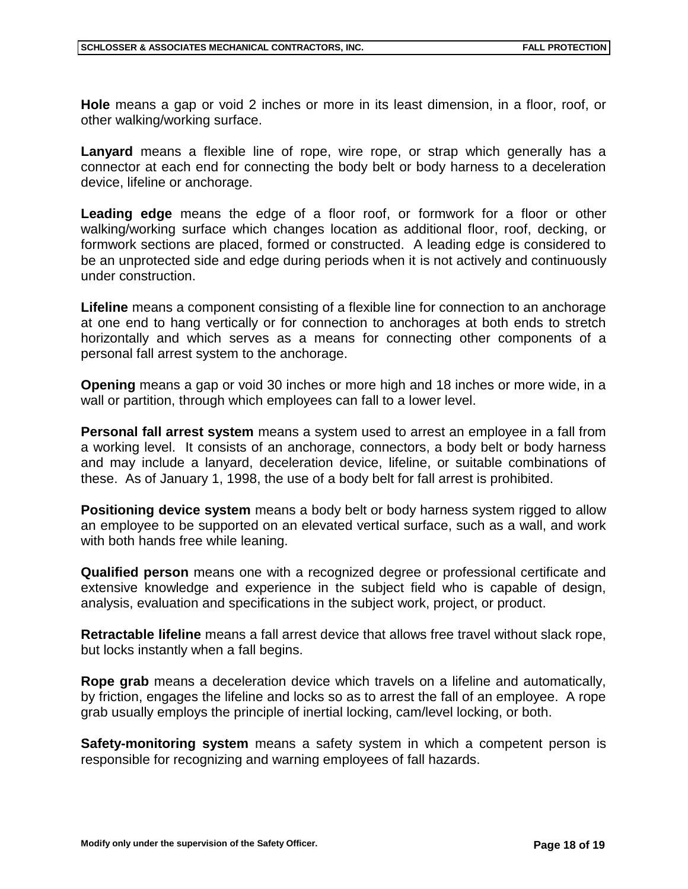**Hole** means a gap or void 2 inches or more in its least dimension, in a floor, roof, or other walking/working surface.

**Lanyard** means a flexible line of rope, wire rope, or strap which generally has a connector at each end for connecting the body belt or body harness to a deceleration device, lifeline or anchorage.

**Leading edge** means the edge of a floor roof, or formwork for a floor or other walking/working surface which changes location as additional floor, roof, decking, or formwork sections are placed, formed or constructed. A leading edge is considered to be an unprotected side and edge during periods when it is not actively and continuously under construction.

**Lifeline** means a component consisting of a flexible line for connection to an anchorage at one end to hang vertically or for connection to anchorages at both ends to stretch horizontally and which serves as a means for connecting other components of a personal fall arrest system to the anchorage.

**Opening** means a gap or void 30 inches or more high and 18 inches or more wide, in a wall or partition, through which employees can fall to a lower level.

**Personal fall arrest system** means a system used to arrest an employee in a fall from a working level. It consists of an anchorage, connectors, a body belt or body harness and may include a lanyard, deceleration device, lifeline, or suitable combinations of these. As of January 1, 1998, the use of a body belt for fall arrest is prohibited.

**Positioning device system** means a body belt or body harness system rigged to allow an employee to be supported on an elevated vertical surface, such as a wall, and work with both hands free while leaning.

**Qualified person** means one with a recognized degree or professional certificate and extensive knowledge and experience in the subject field who is capable of design, analysis, evaluation and specifications in the subject work, project, or product.

**Retractable lifeline** means a fall arrest device that allows free travel without slack rope, but locks instantly when a fall begins.

**Rope grab** means a deceleration device which travels on a lifeline and automatically, by friction, engages the lifeline and locks so as to arrest the fall of an employee. A rope grab usually employs the principle of inertial locking, cam/level locking, or both.

**Safety-monitoring system** means a safety system in which a competent person is responsible for recognizing and warning employees of fall hazards.